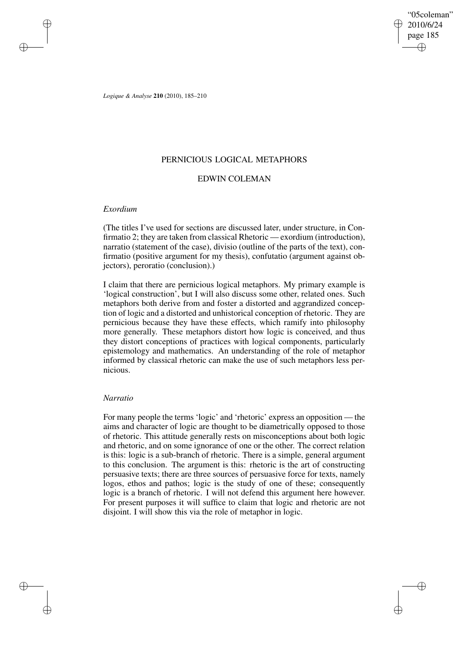"05coleman" 2010/6/24 page 185 ✐ ✐

✐

✐

*Logique & Analyse* **210** (2010), 185–210

## PERNICIOUS LOGICAL METAPHORS

# EDWIN COLEMAN

## *Exordium*

✐

✐

✐

✐

(The titles I've used for sections are discussed later, under structure, in Confirmatio 2; they are taken from classical Rhetoric — exordium (introduction), narratio (statement of the case), divisio (outline of the parts of the text), confirmatio (positive argument for my thesis), confutatio (argument against objectors), peroratio (conclusion).)

I claim that there are pernicious logical metaphors. My primary example is 'logical construction', but I will also discuss some other, related ones. Such metaphors both derive from and foster a distorted and aggrandized conception of logic and a distorted and unhistorical conception of rhetoric. They are pernicious because they have these effects, which ramify into philosophy more generally. These metaphors distort how logic is conceived, and thus they distort conceptions of practices with logical components, particularly epistemology and mathematics. An understanding of the role of metaphor informed by classical rhetoric can make the use of such metaphors less pernicious.

## *Narratio*

For many people the terms 'logic' and 'rhetoric' express an opposition — the aims and character of logic are thought to be diametrically opposed to those of rhetoric. This attitude generally rests on misconceptions about both logic and rhetoric, and on some ignorance of one or the other. The correct relation is this: logic is a sub-branch of rhetoric. There is a simple, general argument to this conclusion. The argument is this: rhetoric is the art of constructing persuasive texts; there are three sources of persuasive force for texts, namely logos, ethos and pathos; logic is the study of one of these; consequently logic is a branch of rhetoric. I will not defend this argument here however. For present purposes it will suffice to claim that logic and rhetoric are not disjoint. I will show this via the role of metaphor in logic.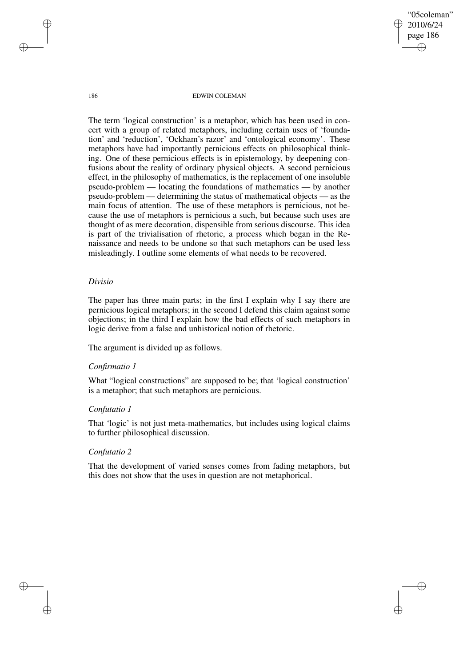"05coleman" 2010/6/24 page 186 ✐ ✐

✐

✐

186 EDWIN COLEMAN

The term 'logical construction' is a metaphor, which has been used in concert with a group of related metaphors, including certain uses of 'foundation' and 'reduction', 'Ockham's razor' and 'ontological economy'. These metaphors have had importantly pernicious effects on philosophical thinking. One of these pernicious effects is in epistemology, by deepening confusions about the reality of ordinary physical objects. A second pernicious effect, in the philosophy of mathematics, is the replacement of one insoluble pseudo-problem — locating the foundations of mathematics — by another pseudo-problem — determining the status of mathematical objects — as the main focus of attention. The use of these metaphors is pernicious, not because the use of metaphors is pernicious a such, but because such uses are thought of as mere decoration, dispensible from serious discourse. This idea is part of the trivialisation of rhetoric, a process which began in the Renaissance and needs to be undone so that such metaphors can be used less misleadingly. I outline some elements of what needs to be recovered.

# *Divisio*

The paper has three main parts; in the first I explain why I say there are pernicious logical metaphors; in the second I defend this claim against some objections; in the third I explain how the bad effects of such metaphors in logic derive from a false and unhistorical notion of rhetoric.

The argument is divided up as follows.

## *Confirmatio 1*

What "logical constructions" are supposed to be; that 'logical construction' is a metaphor; that such metaphors are pernicious.

## *Confutatio 1*

That 'logic' is not just meta-mathematics, but includes using logical claims to further philosophical discussion.

# *Confutatio 2*

That the development of varied senses comes from fading metaphors, but this does not show that the uses in question are not metaphorical.

✐

✐

✐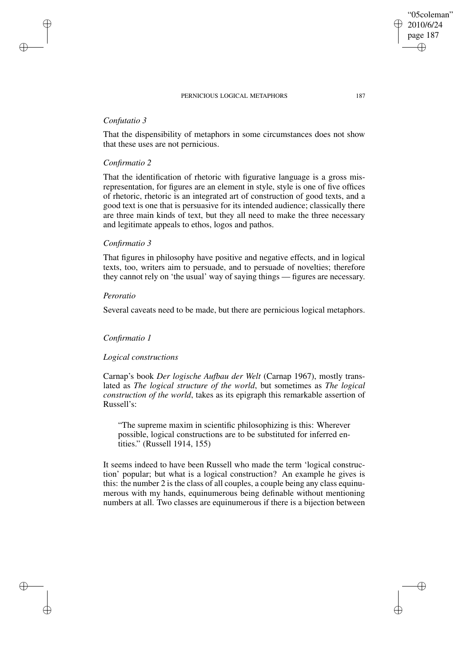# *Confutatio 3*

✐

✐

✐

✐

That the dispensibility of metaphors in some circumstances does not show that these uses are not pernicious.

# *Confirmatio 2*

That the identification of rhetoric with figurative language is a gross misrepresentation, for figures are an element in style, style is one of five offices of rhetoric, rhetoric is an integrated art of construction of good texts, and a good text is one that is persuasive for its intended audience; classically there are three main kinds of text, but they all need to make the three necessary and legitimate appeals to ethos, logos and pathos.

# *Confirmatio 3*

That figures in philosophy have positive and negative effects, and in logical texts, too, writers aim to persuade, and to persuade of novelties; therefore they cannot rely on 'the usual' way of saying things — figures are necessary.

### *Peroratio*

Several caveats need to be made, but there are pernicious logical metaphors.

# *Confirmatio 1*

## *Logical constructions*

Carnap's book *Der logische Aufbau der Welt* (Carnap 1967), mostly translated as *The logical structure of the world*, but sometimes as *The logical construction of the world*, takes as its epigraph this remarkable assertion of Russell's:

"The supreme maxim in scientific philosophizing is this: Wherever possible, logical constructions are to be substituted for inferred entities." (Russell 1914, 155)

It seems indeed to have been Russell who made the term 'logical construction' popular; but what is a logical construction? An example he gives is this: the number 2 is the class of all couples, a couple being any class equinumerous with my hands, equinumerous being definable without mentioning numbers at all. Two classes are equinumerous if there is a bijection between

"05coleman" 2010/6/24 page 187

✐

✐

✐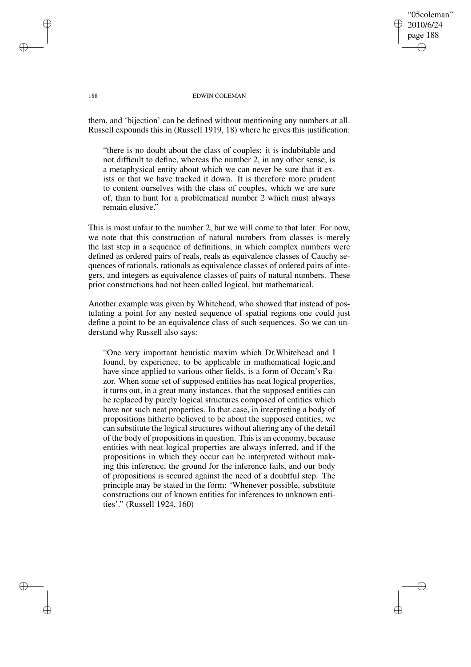## "05coleman" 2010/6/24 page 188 ✐ ✐

✐

✐

#### 188 EDWIN COLEMAN

them, and 'bijection' can be defined without mentioning any numbers at all. Russell expounds this in (Russell 1919, 18) where he gives this justification:

"there is no doubt about the class of couples: it is indubitable and not difficult to define, whereas the number 2, in any other sense, is a metaphysical entity about which we can never be sure that it exists or that we have tracked it down. It is therefore more prudent to content ourselves with the class of couples, which we are sure of, than to hunt for a problematical number 2 which must always remain elusive."

This is most unfair to the number 2, but we will come to that later. For now, we note that this construction of natural numbers from classes is merely the last step in a sequence of definitions, in which complex numbers were defined as ordered pairs of reals, reals as equivalence classes of Cauchy sequences of rationals, rationals as equivalence classes of ordered pairs of integers, and integers as equivalence classes of pairs of natural numbers. These prior constructions had not been called logical, but mathematical.

Another example was given by Whitehead, who showed that instead of postulating a point for any nested sequence of spatial regions one could just define a point to be an equivalence class of such sequences. So we can understand why Russell also says:

"One very important heuristic maxim which Dr.Whitehead and I found, by experience, to be applicable in mathematical logic,and have since applied to various other fields, is a form of Occam's Razor. When some set of supposed entities has neat logical properties, it turns out, in a great many instances, that the supposed entities can be replaced by purely logical structures composed of entities which have not such neat properties. In that case, in interpreting a body of propositions hitherto believed to be about the supposed entities, we can substitute the logical structures without altering any of the detail of the body of propositions in question. This is an economy, because entities with neat logical properties are always inferred, and if the propositions in which they occur can be interpreted without making this inference, the ground for the inference fails, and our body of propositions is secured against the need of a doubtful step. The principle may be stated in the form: 'Whenever possible, substitute constructions out of known entities for inferences to unknown entities'." (Russell 1924, 160)

✐

✐

✐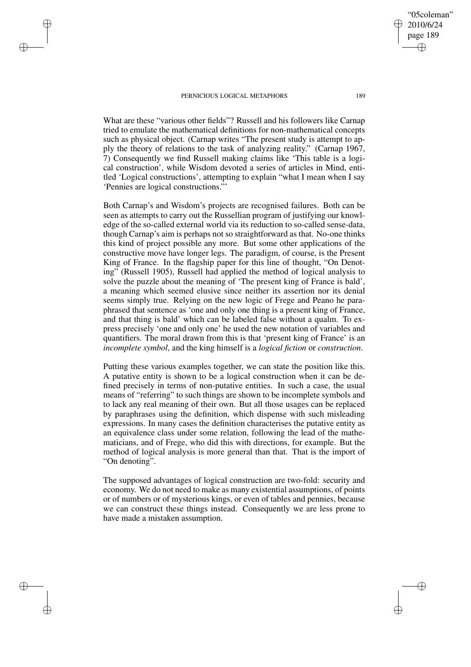✐

✐

✐

✐

2010/6/24 page 189 ✐ ✐

✐

✐

"05coleman"

What are these "various other fields"? Russell and his followers like Carnap tried to emulate the mathematical definitions for non-mathematical concepts such as physical object. (Carnap writes "The present study is attempt to apply the theory of relations to the task of analyzing reality." (Carnap 1967, 7) Consequently we find Russell making claims like 'This table is a logical construction', while Wisdom devoted a series of articles in Mind, entitled 'Logical constructions', attempting to explain "what I mean when I say 'Pennies are logical constructions."'

Both Carnap's and Wisdom's projects are recognised failures. Both can be seen as attempts to carry out the Russellian program of justifying our knowledge of the so-called external world via its reduction to so-called sense-data, though Carnap's aim is perhaps not so straightforward as that. No-one thinks this kind of project possible any more. But some other applications of the constructive move have longer legs. The paradigm, of course, is the Present King of France. In the flagship paper for this line of thought, "On Denoting" (Russell 1905), Russell had applied the method of logical analysis to solve the puzzle about the meaning of 'The present king of France is bald', a meaning which seemed elusive since neither its assertion nor its denial seems simply true. Relying on the new logic of Frege and Peano he paraphrased that sentence as 'one and only one thing is a present king of France, and that thing is bald' which can be labeled false without a qualm. To express precisely 'one and only one' he used the new notation of variables and quantifiers. The moral drawn from this is that 'present king of France' is an *incomplete symbol*, and the king himself is a *logical fiction* or *construction*.

Putting these various examples together, we can state the position like this. A putative entity is shown to be a logical construction when it can be defined precisely in terms of non-putative entities. In such a case, the usual means of "referring" to such things are shown to be incomplete symbols and to lack any real meaning of their own. But all those usages can be replaced by paraphrases using the definition, which dispense with such misleading expressions. In many cases the definition characterises the putative entity as an equivalence class under some relation, following the lead of the mathematicians, and of Frege, who did this with directions, for example. But the method of logical analysis is more general than that. That is the import of "On denoting".

The supposed advantages of logical construction are two-fold: security and economy. We do not need to make as many existential assumptions, of points or of numbers or of mysterious kings, or even of tables and pennies, because we can construct these things instead. Consequently we are less prone to have made a mistaken assumption.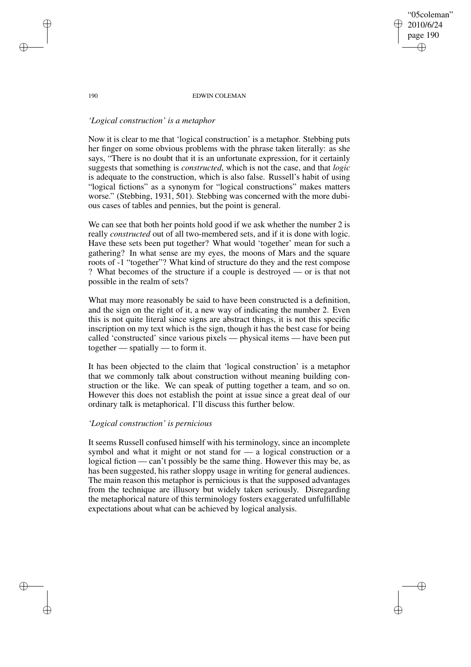## "05coleman" 2010/6/24 page 190 ✐ ✐

✐

✐

#### 190 EDWIN COLEMAN

# *'Logical construction' is a metaphor*

Now it is clear to me that 'logical construction' is a metaphor. Stebbing puts her finger on some obvious problems with the phrase taken literally: as she says, "There is no doubt that it is an unfortunate expression, for it certainly suggests that something is *constructed*, which is not the case, and that *logic* is adequate to the construction, which is also false. Russell's habit of using "logical fictions" as a synonym for "logical constructions" makes matters worse." (Stebbing, 1931, 501). Stebbing was concerned with the more dubious cases of tables and pennies, but the point is general.

We can see that both her points hold good if we ask whether the number 2 is really *constructed* out of all two-membered sets, and if it is done with logic. Have these sets been put together? What would 'together' mean for such a gathering? In what sense are my eyes, the moons of Mars and the square roots of -1 "together"? What kind of structure do they and the rest compose ? What becomes of the structure if a couple is destroyed — or is that not possible in the realm of sets?

What may more reasonably be said to have been constructed is a definition, and the sign on the right of it, a new way of indicating the number 2. Even this is not quite literal since signs are abstract things, it is not this specific inscription on my text which is the sign, though it has the best case for being called 'constructed' since various pixels — physical items — have been put together — spatially — to form it.

It has been objected to the claim that 'logical construction' is a metaphor that we commonly talk about construction without meaning building construction or the like. We can speak of putting together a team, and so on. However this does not establish the point at issue since a great deal of our ordinary talk is metaphorical. I'll discuss this further below.

# *'Logical construction' is pernicious*

It seems Russell confused himself with his terminology, since an incomplete symbol and what it might or not stand for — a logical construction or a logical fiction — can't possibly be the same thing. However this may be, as has been suggested, his rather sloppy usage in writing for general audiences. The main reason this metaphor is pernicious is that the supposed advantages from the technique are illusory but widely taken seriously. Disregarding the metaphorical nature of this terminology fosters exaggerated unfulfillable expectations about what can be achieved by logical analysis.

✐

✐

✐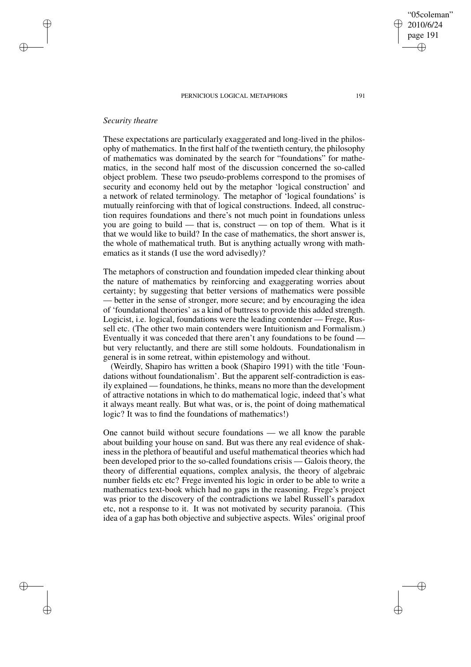# *Security theatre*

✐

✐

✐

✐

These expectations are particularly exaggerated and long-lived in the philosophy of mathematics. In the first half of the twentieth century, the philosophy of mathematics was dominated by the search for "foundations" for mathematics, in the second half most of the discussion concerned the so-called object problem. These two pseudo-problems correspond to the promises of security and economy held out by the metaphor 'logical construction' and a network of related terminology. The metaphor of 'logical foundations' is mutually reinforcing with that of logical constructions. Indeed, all construction requires foundations and there's not much point in foundations unless you are going to build — that is, construct — on top of them. What is it that we would like to build? In the case of mathematics, the short answer is, the whole of mathematical truth. But is anything actually wrong with mathematics as it stands (I use the word advisedly)?

The metaphors of construction and foundation impeded clear thinking about the nature of mathematics by reinforcing and exaggerating worries about certainty; by suggesting that better versions of mathematics were possible — better in the sense of stronger, more secure; and by encouraging the idea of 'foundational theories' as a kind of buttress to provide this added strength. Logicist, i.e. logical, foundations were the leading contender — Frege, Russell etc. (The other two main contenders were Intuitionism and Formalism.) Eventually it was conceded that there aren't any foundations to be found but very reluctantly, and there are still some holdouts. Foundationalism in general is in some retreat, within epistemology and without.

(Weirdly, Shapiro has written a book (Shapiro 1991) with the title 'Foundations without foundationalism'. But the apparent self-contradiction is easily explained — foundations, he thinks, means no more than the development of attractive notations in which to do mathematical logic, indeed that's what it always meant really. But what was, or is, the point of doing mathematical logic? It was to find the foundations of mathematics!)

One cannot build without secure foundations — we all know the parable about building your house on sand. But was there any real evidence of shakiness in the plethora of beautiful and useful mathematical theories which had been developed prior to the so-called foundations crisis — Galois theory, the theory of differential equations, complex analysis, the theory of algebraic number fields etc etc? Frege invented his logic in order to be able to write a mathematics text-book which had no gaps in the reasoning. Frege's project was prior to the discovery of the contradictions we label Russell's paradox etc, not a response to it. It was not motivated by security paranoia. (This idea of a gap has both objective and subjective aspects. Wiles' original proof

"05coleman" 2010/6/24 page 191

✐

✐

✐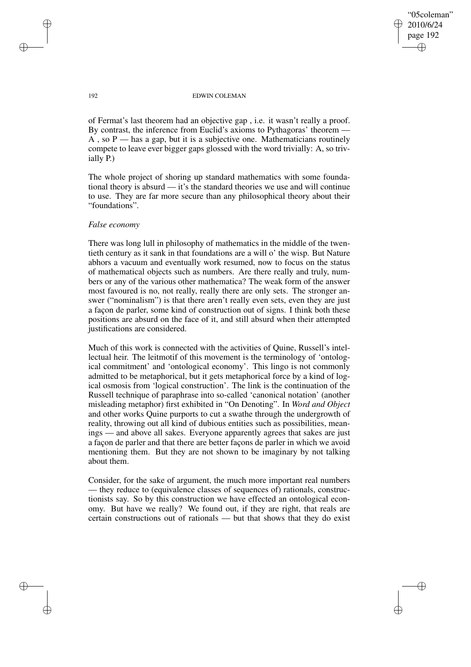✐

✐

#### 192 EDWIN COLEMAN

of Fermat's last theorem had an objective gap , i.e. it wasn't really a proof. By contrast, the inference from Euclid's axioms to Pythagoras' theorem — A, so  $P$  — has a gap, but it is a subjective one. Mathematicians routinely compete to leave ever bigger gaps glossed with the word trivially: A, so trivially P.)

The whole project of shoring up standard mathematics with some foundational theory is absurd — it's the standard theories we use and will continue to use. They are far more secure than any philosophical theory about their "foundations".

## *False economy*

There was long lull in philosophy of mathematics in the middle of the twentieth century as it sank in that foundations are a will o' the wisp. But Nature abhors a vacuum and eventually work resumed, now to focus on the status of mathematical objects such as numbers. Are there really and truly, numbers or any of the various other mathematica? The weak form of the answer most favoured is no, not really, really there are only sets. The stronger answer ("nominalism") is that there aren't really even sets, even they are just a façon de parler, some kind of construction out of signs. I think both these positions are absurd on the face of it, and still absurd when their attempted justifications are considered.

Much of this work is connected with the activities of Quine, Russell's intellectual heir. The leitmotif of this movement is the terminology of 'ontological commitment' and 'ontological economy'. This lingo is not commonly admitted to be metaphorical, but it gets metaphorical force by a kind of logical osmosis from 'logical construction'. The link is the continuation of the Russell technique of paraphrase into so-called 'canonical notation' (another misleading metaphor) first exhibited in "On Denoting". In *Word and Object* and other works Quine purports to cut a swathe through the undergrowth of reality, throwing out all kind of dubious entities such as possibilities, meanings — and above all sakes. Everyone apparently agrees that sakes are just a façon de parler and that there are better façons de parler in which we avoid mentioning them. But they are not shown to be imaginary by not talking about them.

Consider, for the sake of argument, the much more important real numbers — they reduce to (equivalence classes of sequences of) rationals, constructionists say. So by this construction we have effected an ontological economy. But have we really? We found out, if they are right, that reals are certain constructions out of rationals — but that shows that they do exist

✐

✐

✐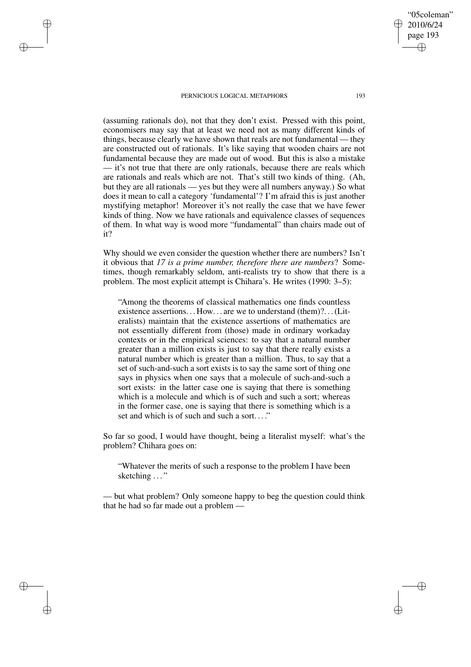✐

✐

✐

✐

(assuming rationals do), not that they don't exist. Pressed with this point, economisers may say that at least we need not as many different kinds of things, because clearly we have shown that reals are not fundamental — they are constructed out of rationals. It's like saying that wooden chairs are not fundamental because they are made out of wood. But this is also a mistake — it's not true that there are only rationals, because there are reals which are rationals and reals which are not. That's still two kinds of thing. (Ah, but they are all rationals — yes but they were all numbers anyway.) So what does it mean to call a category 'fundamental'? I'm afraid this is just another mystifying metaphor! Moreover it's not really the case that we have fewer kinds of thing. Now we have rationals and equivalence classes of sequences of them. In what way is wood more "fundamental" than chairs made out of it?

Why should we even consider the question whether there are numbers? Isn't it obvious that *17 is a prime number, therefore there are numbers*? Sometimes, though remarkably seldom, anti-realists try to show that there is a problem. The most explicit attempt is Chihara's. He writes (1990: 3–5):

"Among the theorems of classical mathematics one finds countless existence assertions... How... are we to understand (them)?... (Literalists) maintain that the existence assertions of mathematics are not essentially different from (those) made in ordinary workaday contexts or in the empirical sciences: to say that a natural number greater than a million exists is just to say that there really exists a natural number which is greater than a million. Thus, to say that a set of such-and-such a sort exists is to say the same sort of thing one says in physics when one says that a molecule of such-and-such a sort exists: in the latter case one is saying that there is something which is a molecule and which is of such and such a sort; whereas in the former case, one is saying that there is something which is a set and which is of such and such a sort. . . ."

So far so good, I would have thought, being a literalist myself: what's the problem? Chihara goes on:

"Whatever the merits of such a response to the problem I have been sketching ..."

— but what problem? Only someone happy to beg the question could think that he had so far made out a problem —

"05coleman" 2010/6/24 page 193

✐

✐

✐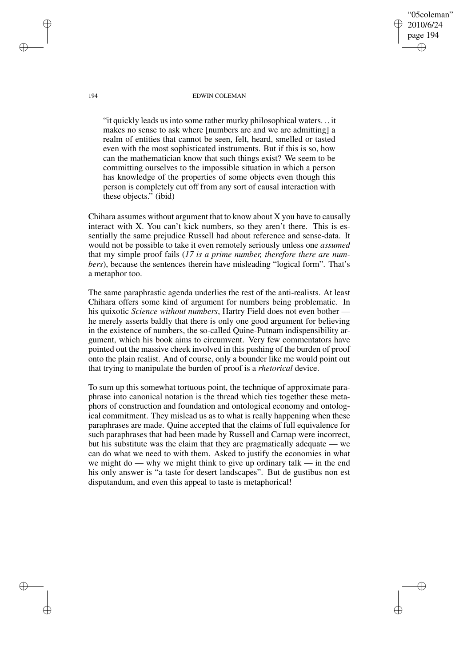194 EDWIN COLEMAN

"05coleman" 2010/6/24 page 194

✐

✐

✐

✐

"it quickly leads usinto some rather murky philosophical waters. . . it makes no sense to ask where [numbers are and we are admitting] a realm of entities that cannot be seen, felt, heard, smelled or tasted even with the most sophisticated instruments. But if this is so, how can the mathematician know that such things exist? We seem to be committing ourselves to the impossible situation in which a person has knowledge of the properties of some objects even though this person is completely cut off from any sort of causal interaction with these objects." (ibid)

Chihara assumes without argument that to know about X you have to causally interact with X. You can't kick numbers, so they aren't there. This is essentially the same prejudice Russell had about reference and sense-data. It would not be possible to take it even remotely seriously unless one *assumed* that my simple proof fails (*17 is a prime number, therefore there are numbers*), because the sentences therein have misleading "logical form". That's a metaphor too.

The same paraphrastic agenda underlies the rest of the anti-realists. At least Chihara offers some kind of argument for numbers being problematic. In his quixotic *Science without numbers*, Hartry Field does not even bother he merely asserts baldly that there is only one good argument for believing in the existence of numbers, the so-called Quine-Putnam indispensibility argument, which his book aims to circumvent. Very few commentators have pointed out the massive cheek involved in this pushing of the burden of proof onto the plain realist. And of course, only a bounder like me would point out that trying to manipulate the burden of proof is a *rhetorical* device.

To sum up this somewhat tortuous point, the technique of approximate paraphrase into canonical notation is the thread which ties together these metaphors of construction and foundation and ontological economy and ontological commitment. They mislead us as to what is really happening when these paraphrases are made. Quine accepted that the claims of full equivalence for such paraphrases that had been made by Russell and Carnap were incorrect, but his substitute was the claim that they are pragmatically adequate — we can do what we need to with them. Asked to justify the economies in what we might do — why we might think to give up ordinary talk — in the end his only answer is "a taste for desert landscapes". But de gustibus non est disputandum, and even this appeal to taste is metaphorical!

✐

✐

✐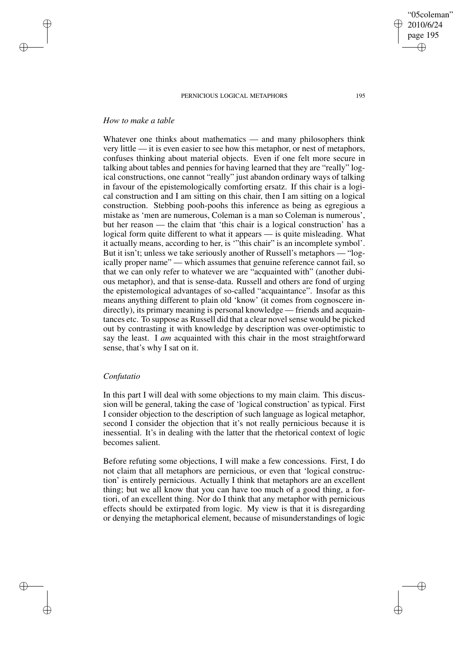# *How to make a table*

✐

✐

✐

✐

Whatever one thinks about mathematics — and many philosophers think very little — it is even easier to see how this metaphor, or nest of metaphors, confuses thinking about material objects. Even if one felt more secure in talking about tables and pennies for having learned that they are "really" logical constructions, one cannot "really" just abandon ordinary ways of talking in favour of the epistemologically comforting ersatz. If this chair is a logical construction and I am sitting on this chair, then I am sitting on a logical construction. Stebbing pooh-poohs this inference as being as egregious a mistake as 'men are numerous, Coleman is a man so Coleman is numerous', but her reason — the claim that 'this chair is a logical construction' has a logical form quite different to what it appears — is quite misleading. What it actually means, according to her, is '"this chair" is an incomplete symbol'. But it isn't; unless we take seriously another of Russell's metaphors — "logically proper name" — which assumes that genuine reference cannot fail, so that we can only refer to whatever we are "acquainted with" (another dubious metaphor), and that is sense-data. Russell and others are fond of urging the epistemological advantages of so-called "acquaintance". Insofar as this means anything different to plain old 'know' (it comes from cognoscere indirectly), its primary meaning is personal knowledge — friends and acquaintances etc. To suppose as Russell did that a clear novel sense would be picked out by contrasting it with knowledge by description was over-optimistic to say the least. I *am* acquainted with this chair in the most straightforward sense, that's why I sat on it.

# *Confutatio*

In this part I will deal with some objections to my main claim. This discussion will be general, taking the case of 'logical construction' as typical. First I consider objection to the description of such language as logical metaphor, second I consider the objection that it's not really pernicious because it is inessential. It's in dealing with the latter that the rhetorical context of logic becomes salient.

Before refuting some objections, I will make a few concessions. First, I do not claim that all metaphors are pernicious, or even that 'logical construction' is entirely pernicious. Actually I think that metaphors are an excellent thing; but we all know that you can have too much of a good thing, a fortiori, of an excellent thing. Nor do I think that any metaphor with pernicious effects should be extirpated from logic. My view is that it is disregarding or denying the metaphorical element, because of misunderstandings of logic



✐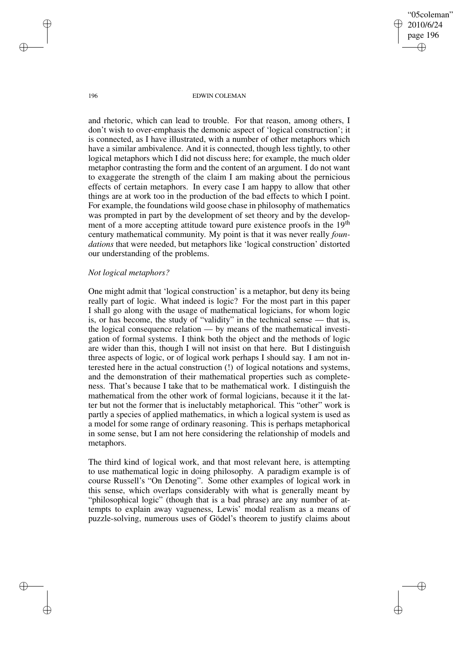"05coleman" 2010/6/24 page 196 ✐ ✐

✐

✐

#### 196 EDWIN COLEMAN

and rhetoric, which can lead to trouble. For that reason, among others, I don't wish to over-emphasis the demonic aspect of 'logical construction'; it is connected, as I have illustrated, with a number of other metaphors which have a similar ambivalence. And it is connected, though less tightly, to other logical metaphors which I did not discuss here; for example, the much older metaphor contrasting the form and the content of an argument. I do not want to exaggerate the strength of the claim I am making about the pernicious effects of certain metaphors. In every case I am happy to allow that other things are at work too in the production of the bad effects to which I point. For example, the foundations wild goose chase in philosophy of mathematics was prompted in part by the development of set theory and by the development of a more accepting attitude toward pure existence proofs in the 19<sup>th</sup> century mathematical community. My point is that it was never really *foundations* that were needed, but metaphors like 'logical construction' distorted our understanding of the problems.

## *Not logical metaphors?*

One might admit that 'logical construction' is a metaphor, but deny its being really part of logic. What indeed is logic? For the most part in this paper I shall go along with the usage of mathematical logicians, for whom logic is, or has become, the study of "validity" in the technical sense — that is, the logical consequence relation — by means of the mathematical investigation of formal systems. I think both the object and the methods of logic are wider than this, though I will not insist on that here. But I distinguish three aspects of logic, or of logical work perhaps I should say. I am not interested here in the actual construction (!) of logical notations and systems, and the demonstration of their mathematical properties such as completeness. That's because I take that to be mathematical work. I distinguish the mathematical from the other work of formal logicians, because it it the latter but not the former that is ineluctably metaphorical. This "other" work is partly a species of applied mathematics, in which a logical system is used as a model for some range of ordinary reasoning. This is perhaps metaphorical in some sense, but I am not here considering the relationship of models and metaphors.

The third kind of logical work, and that most relevant here, is attempting to use mathematical logic in doing philosophy. A paradigm example is of course Russell's "On Denoting". Some other examples of logical work in this sense, which overlaps considerably with what is generally meant by "philosophical logic" (though that is a bad phrase) are any number of attempts to explain away vagueness, Lewis' modal realism as a means of puzzle-solving, numerous uses of Gödel's theorem to justify claims about

✐

✐

✐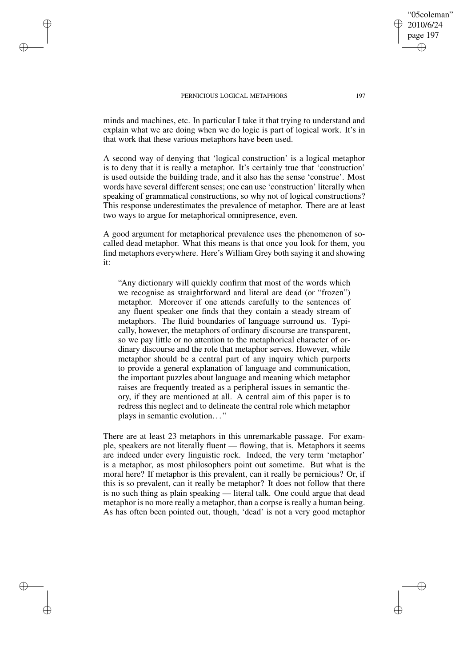✐

✐

✐

✐

minds and machines, etc. In particular I take it that trying to understand and explain what we are doing when we do logic is part of logical work. It's in that work that these various metaphors have been used.

A second way of denying that 'logical construction' is a logical metaphor is to deny that it is really a metaphor. It's certainly true that 'construction' is used outside the building trade, and it also has the sense 'construe'. Most words have several different senses; one can use 'construction' literally when speaking of grammatical constructions, so why not of logical constructions? This response underestimates the prevalence of metaphor. There are at least two ways to argue for metaphorical omnipresence, even.

A good argument for metaphorical prevalence uses the phenomenon of socalled dead metaphor. What this means is that once you look for them, you find metaphors everywhere. Here's William Grey both saying it and showing it:

"Any dictionary will quickly confirm that most of the words which we recognise as straightforward and literal are dead (or "frozen") metaphor. Moreover if one attends carefully to the sentences of any fluent speaker one finds that they contain a steady stream of metaphors. The fluid boundaries of language surround us. Typically, however, the metaphors of ordinary discourse are transparent, so we pay little or no attention to the metaphorical character of ordinary discourse and the role that metaphor serves. However, while metaphor should be a central part of any inquiry which purports to provide a general explanation of language and communication, the important puzzles about language and meaning which metaphor raises are frequently treated as a peripheral issues in semantic theory, if they are mentioned at all. A central aim of this paper is to redress this neglect and to delineate the central role which metaphor plays in semantic evolution. . . "

There are at least 23 metaphors in this unremarkable passage. For example, speakers are not literally fluent — flowing, that is. Metaphors it seems are indeed under every linguistic rock. Indeed, the very term 'metaphor' is a metaphor, as most philosophers point out sometime. But what is the moral here? If metaphor is this prevalent, can it really be pernicious? Or, if this is so prevalent, can it really be metaphor? It does not follow that there is no such thing as plain speaking — literal talk. One could argue that dead metaphor is no more really a metaphor, than a corpse is really a human being. As has often been pointed out, though, 'dead' is not a very good metaphor

"05coleman" 2010/6/24 page 197

✐

✐

✐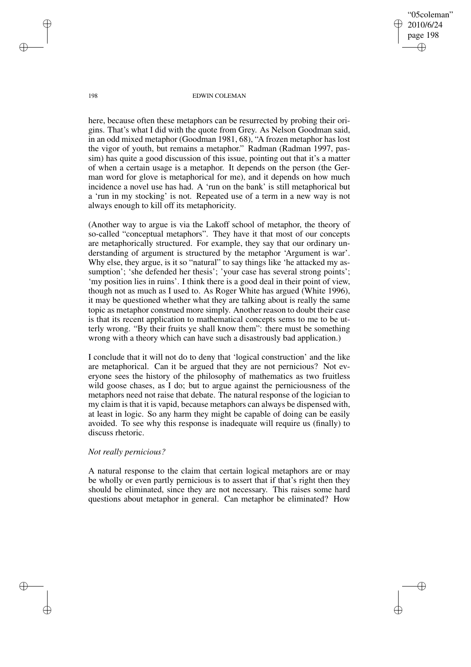"05coleman" 2010/6/24 page 198 ✐ ✐

✐

✐

#### 198 EDWIN COLEMAN

here, because often these metaphors can be resurrected by probing their origins. That's what I did with the quote from Grey. As Nelson Goodman said, in an odd mixed metaphor (Goodman 1981, 68), "A frozen metaphor has lost the vigor of youth, but remains a metaphor." Radman (Radman 1997, passim) has quite a good discussion of this issue, pointing out that it's a matter of when a certain usage is a metaphor. It depends on the person (the German word for glove is metaphorical for me), and it depends on how much incidence a novel use has had. A 'run on the bank' is still metaphorical but a 'run in my stocking' is not. Repeated use of a term in a new way is not always enough to kill off its metaphoricity.

(Another way to argue is via the Lakoff school of metaphor, the theory of so-called "conceptual metaphors". They have it that most of our concepts are metaphorically structured. For example, they say that our ordinary understanding of argument is structured by the metaphor 'Argument is war'. Why else, they argue, is it so "natural" to say things like 'he attacked my assumption'; 'she defended her thesis'; 'your case has several strong points'; 'my position lies in ruins'. I think there is a good deal in their point of view, though not as much as I used to. As Roger White has argued (White 1996), it may be questioned whether what they are talking about is really the same topic as metaphor construed more simply. Another reason to doubt their case is that its recent application to mathematical concepts sems to me to be utterly wrong. "By their fruits ye shall know them": there must be something wrong with a theory which can have such a disastrously bad application.)

I conclude that it will not do to deny that 'logical construction' and the like are metaphorical. Can it be argued that they are not pernicious? Not everyone sees the history of the philosophy of mathematics as two fruitless wild goose chases, as I do; but to argue against the perniciousness of the metaphors need not raise that debate. The natural response of the logician to my claim is that it is vapid, because metaphors can always be dispensed with, at least in logic. So any harm they might be capable of doing can be easily avoided. To see why this response is inadequate will require us (finally) to discuss rhetoric.

## *Not really pernicious?*

A natural response to the claim that certain logical metaphors are or may be wholly or even partly pernicious is to assert that if that's right then they should be eliminated, since they are not necessary. This raises some hard questions about metaphor in general. Can metaphor be eliminated? How

✐

✐

✐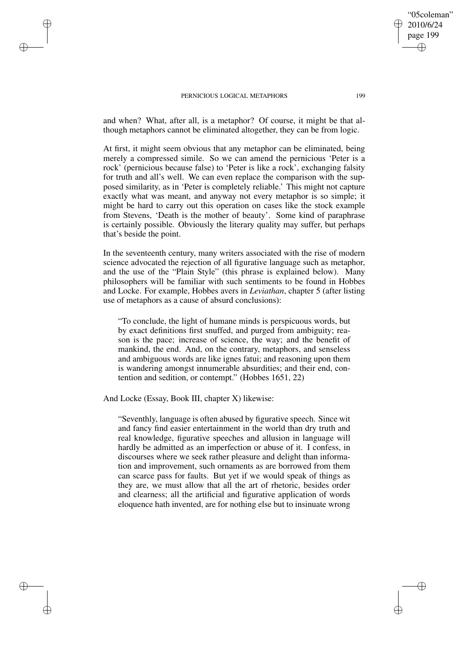✐

✐

✐

✐

and when? What, after all, is a metaphor? Of course, it might be that although metaphors cannot be eliminated altogether, they can be from logic.

At first, it might seem obvious that any metaphor can be eliminated, being merely a compressed simile. So we can amend the pernicious 'Peter is a rock' (pernicious because false) to 'Peter is like a rock', exchanging falsity for truth and all's well. We can even replace the comparison with the supposed similarity, as in 'Peter is completely reliable.' This might not capture exactly what was meant, and anyway not every metaphor is so simple; it might be hard to carry out this operation on cases like the stock example from Stevens, 'Death is the mother of beauty'. Some kind of paraphrase is certainly possible. Obviously the literary quality may suffer, but perhaps that's beside the point.

In the seventeenth century, many writers associated with the rise of modern science advocated the rejection of all figurative language such as metaphor, and the use of the "Plain Style" (this phrase is explained below). Many philosophers will be familiar with such sentiments to be found in Hobbes and Locke. For example, Hobbes avers in *Leviathan*, chapter 5 (after listing use of metaphors as a cause of absurd conclusions):

"To conclude, the light of humane minds is perspicuous words, but by exact definitions first snuffed, and purged from ambiguity; reason is the pace; increase of science, the way; and the benefit of mankind, the end. And, on the contrary, metaphors, and senseless and ambiguous words are like ignes fatui; and reasoning upon them is wandering amongst innumerable absurdities; and their end, contention and sedition, or contempt." (Hobbes 1651, 22)

And Locke (Essay, Book III, chapter X) likewise:

"Seventhly, language is often abused by figurative speech. Since wit and fancy find easier entertainment in the world than dry truth and real knowledge, figurative speeches and allusion in language will hardly be admitted as an imperfection or abuse of it. I confess, in discourses where we seek rather pleasure and delight than information and improvement, such ornaments as are borrowed from them can scarce pass for faults. But yet if we would speak of things as they are, we must allow that all the art of rhetoric, besides order and clearness; all the artificial and figurative application of words eloquence hath invented, are for nothing else but to insinuate wrong

"05coleman" 2010/6/24 page 199

✐

✐

✐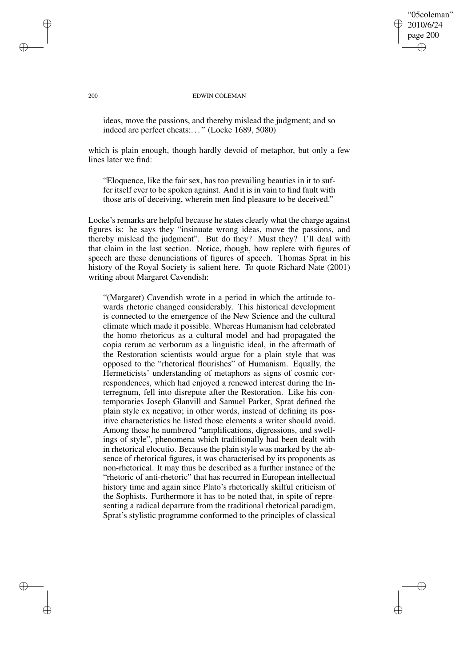# "05coleman" 2010/6/24 page 200 ✐ ✐

✐

✐

#### 200 EDWIN COLEMAN

ideas, move the passions, and thereby mislead the judgment; and so indeed are perfect cheats:. . . " (Locke 1689, 5080)

which is plain enough, though hardly devoid of metaphor, but only a few lines later we find:

"Eloquence, like the fair sex, has too prevailing beauties in it to suffer itself ever to be spoken against. And it is in vain to find fault with those arts of deceiving, wherein men find pleasure to be deceived."

Locke's remarks are helpful because he states clearly what the charge against figures is: he says they "insinuate wrong ideas, move the passions, and thereby mislead the judgment". But do they? Must they? I'll deal with that claim in the last section. Notice, though, how replete with figures of speech are these denunciations of figures of speech. Thomas Sprat in his history of the Royal Society is salient here. To quote Richard Nate (2001) writing about Margaret Cavendish:

"(Margaret) Cavendish wrote in a period in which the attitude towards rhetoric changed considerably. This historical development is connected to the emergence of the New Science and the cultural climate which made it possible. Whereas Humanism had celebrated the homo rhetoricus as a cultural model and had propagated the copia rerum ac verborum as a linguistic ideal, in the aftermath of the Restoration scientists would argue for a plain style that was opposed to the "rhetorical flourishes" of Humanism. Equally, the Hermeticists' understanding of metaphors as signs of cosmic correspondences, which had enjoyed a renewed interest during the Interregnum, fell into disrepute after the Restoration. Like his contemporaries Joseph Glanvill and Samuel Parker, Sprat defined the plain style ex negativo; in other words, instead of defining its positive characteristics he listed those elements a writer should avoid. Among these he numbered "amplifications, digressions, and swellings of style", phenomena which traditionally had been dealt with in rhetorical elocutio. Because the plain style was marked by the absence of rhetorical figures, it was characterised by its proponents as non-rhetorical. It may thus be described as a further instance of the "rhetoric of anti-rhetoric" that has recurred in European intellectual history time and again since Plato's rhetorically skilful criticism of the Sophists. Furthermore it has to be noted that, in spite of representing a radical departure from the traditional rhetorical paradigm, Sprat's stylistic programme conformed to the principles of classical

✐

✐

✐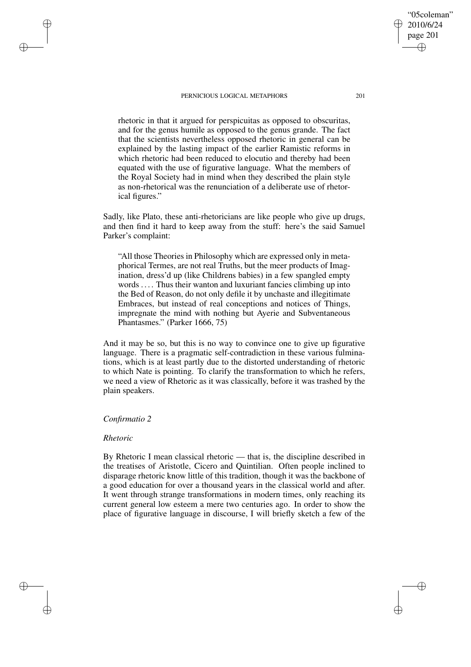rhetoric in that it argued for perspicuitas as opposed to obscuritas, and for the genus humile as opposed to the genus grande. The fact that the scientists nevertheless opposed rhetoric in general can be explained by the lasting impact of the earlier Ramistic reforms in which rhetoric had been reduced to elocutio and thereby had been equated with the use of figurative language. What the members of the Royal Society had in mind when they described the plain style as non-rhetorical was the renunciation of a deliberate use of rhetorical figures."

Sadly, like Plato, these anti-rhetoricians are like people who give up drugs, and then find it hard to keep away from the stuff: here's the said Samuel Parker's complaint:

"All those Theories in Philosophy which are expressed only in metaphorical Termes, are not real Truths, but the meer products of Imagination, dress'd up (like Childrens babies) in a few spangled empty words .... Thus their wanton and luxuriant fancies climbing up into the Bed of Reason, do not only defile it by unchaste and illegitimate Embraces, but instead of real conceptions and notices of Things, impregnate the mind with nothing but Ayerie and Subventaneous Phantasmes." (Parker 1666, 75)

And it may be so, but this is no way to convince one to give up figurative language. There is a pragmatic self-contradiction in these various fulminations, which is at least partly due to the distorted understanding of rhetoric to which Nate is pointing. To clarify the transformation to which he refers, we need a view of Rhetoric as it was classically, before it was trashed by the plain speakers.

## *Confirmatio 2*

## *Rhetoric*

✐

✐

✐

✐

By Rhetoric I mean classical rhetoric — that is, the discipline described in the treatises of Aristotle, Cicero and Quintilian. Often people inclined to disparage rhetoric know little of this tradition, though it was the backbone of a good education for over a thousand years in the classical world and after. It went through strange transformations in modern times, only reaching its current general low esteem a mere two centuries ago. In order to show the place of figurative language in discourse, I will briefly sketch a few of the

"05coleman" 2010/6/24 page 201

✐

✐

✐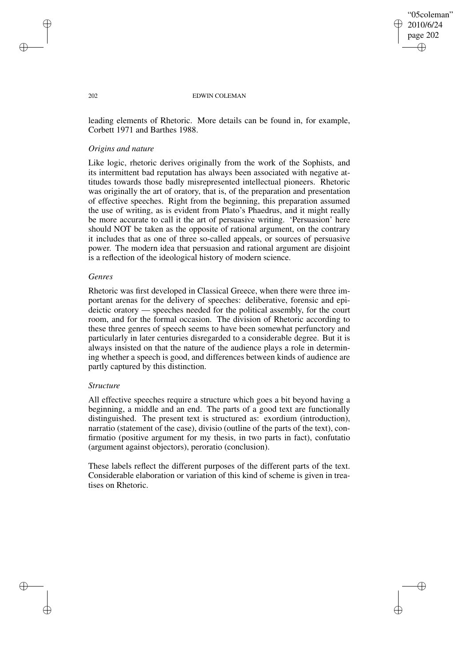## "05coleman" 2010/6/24 page 202 ✐ ✐

✐

✐

#### 202 EDWIN COLEMAN

leading elements of Rhetoric. More details can be found in, for example, Corbett 1971 and Barthes 1988.

# *Origins and nature*

Like logic, rhetoric derives originally from the work of the Sophists, and its intermittent bad reputation has always been associated with negative attitudes towards those badly misrepresented intellectual pioneers. Rhetoric was originally the art of oratory, that is, of the preparation and presentation of effective speeches. Right from the beginning, this preparation assumed the use of writing, as is evident from Plato's Phaedrus, and it might really be more accurate to call it the art of persuasive writing. 'Persuasion' here should NOT be taken as the opposite of rational argument, on the contrary it includes that as one of three so-called appeals, or sources of persuasive power. The modern idea that persuasion and rational argument are disjoint is a reflection of the ideological history of modern science.

## *Genres*

Rhetoric was first developed in Classical Greece, when there were three important arenas for the delivery of speeches: deliberative, forensic and epideictic oratory — speeches needed for the political assembly, for the court room, and for the formal occasion. The division of Rhetoric according to these three genres of speech seems to have been somewhat perfunctory and particularly in later centuries disregarded to a considerable degree. But it is always insisted on that the nature of the audience plays a role in determining whether a speech is good, and differences between kinds of audience are partly captured by this distinction.

## *Structure*

All effective speeches require a structure which goes a bit beyond having a beginning, a middle and an end. The parts of a good text are functionally distinguished. The present text is structured as: exordium (introduction), narratio (statement of the case), divisio (outline of the parts of the text), confirmatio (positive argument for my thesis, in two parts in fact), confutatio (argument against objectors), peroratio (conclusion).

These labels reflect the different purposes of the different parts of the text. Considerable elaboration or variation of this kind of scheme is given in treatises on Rhetoric.

✐

✐

✐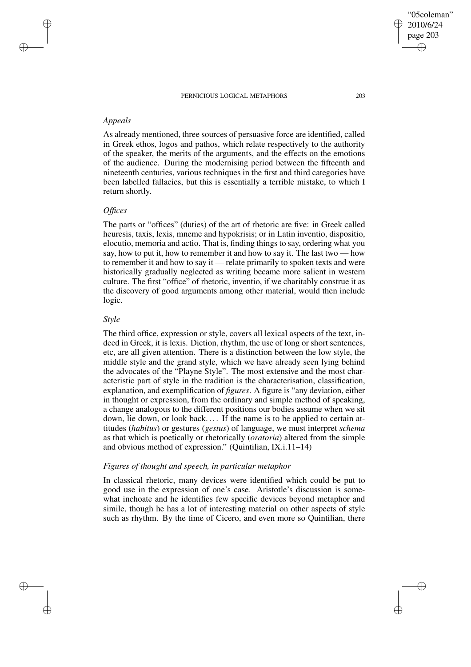# *Appeals*

✐

✐

✐

✐

As already mentioned, three sources of persuasive force are identified, called in Greek ethos, logos and pathos, which relate respectively to the authority of the speaker, the merits of the arguments, and the effects on the emotions of the audience. During the modernising period between the fifteenth and nineteenth centuries, various techniques in the first and third categories have been labelled fallacies, but this is essentially a terrible mistake, to which I return shortly.

## *Offices*

The parts or "offices" (duties) of the art of rhetoric are five: in Greek called heuresis, taxis, lexis, mneme and hypokrisis; or in Latin inventio, dispositio, elocutio, memoria and actio. That is, finding things to say, ordering what you say, how to put it, how to remember it and how to say it. The last two — how to remember it and how to say it — relate primarily to spoken texts and were historically gradually neglected as writing became more salient in western culture. The first "office" of rhetoric, inventio, if we charitably construe it as the discovery of good arguments among other material, would then include logic.

## *Style*

The third office, expression or style, covers all lexical aspects of the text, indeed in Greek, it is lexis. Diction, rhythm, the use of long or short sentences, etc, are all given attention. There is a distinction between the low style, the middle style and the grand style, which we have already seen lying behind the advocates of the "Playne Style". The most extensive and the most characteristic part of style in the tradition is the characterisation, classification, explanation, and exemplification of *figures*. A figure is "any deviation, either in thought or expression, from the ordinary and simple method of speaking, a change analogous to the different positions our bodies assume when we sit down, lie down, or look back.... If the name is to be applied to certain attitudes (*habitus*) or gestures (*gestus*) of language, we must interpret *schema* as that which is poetically or rhetorically (*oratoria*) altered from the simple and obvious method of expression." (Quintilian, IX.i.11–14)

## *Figures of thought and speech, in particular metaphor*

In classical rhetoric, many devices were identified which could be put to good use in the expression of one's case. Aristotle's discussion is somewhat inchoate and he identifies few specific devices beyond metaphor and simile, though he has a lot of interesting material on other aspects of style such as rhythm. By the time of Cicero, and even more so Quintilian, there

✐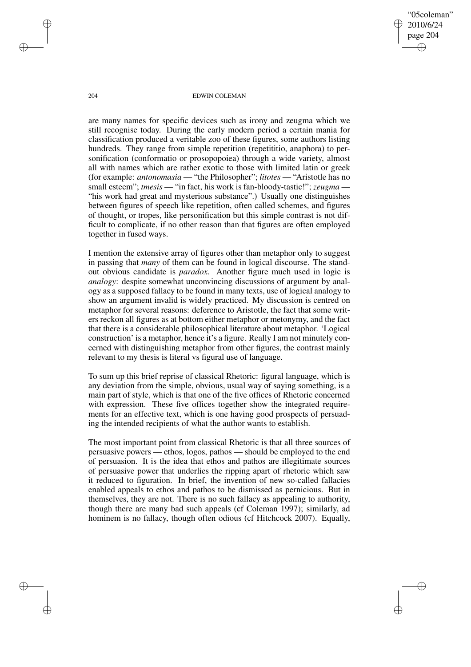"05coleman" 2010/6/24 page 204 ✐ ✐

✐

✐

#### 204 EDWIN COLEMAN

are many names for specific devices such as irony and zeugma which we still recognise today. During the early modern period a certain mania for classification produced a veritable zoo of these figures, some authors listing hundreds. They range from simple repetition (repetititio, anaphora) to personification (conformatio or prosopopoiea) through a wide variety, almost all with names which are rather exotic to those with limited latin or greek (for example: *antonomasia* — "the Philosopher"; *litotes* — "Aristotle has no small esteem"; *tmesis* — "in fact, his work is fan-bloody-tastic!"; *zeugma* — "his work had great and mysterious substance".) Usually one distinguishes between figures of speech like repetition, often called schemes, and figures of thought, or tropes, like personification but this simple contrast is not difficult to complicate, if no other reason than that figures are often employed together in fused ways.

I mention the extensive array of figures other than metaphor only to suggest in passing that *many* of them can be found in logical discourse. The standout obvious candidate is *paradox*. Another figure much used in logic is *analogy*: despite somewhat unconvincing discussions of argument by analogy as a supposed fallacy to be found in many texts, use of logical analogy to show an argument invalid is widely practiced. My discussion is centred on metaphor for several reasons: deference to Aristotle, the fact that some writers reckon all figures as at bottom either metaphor or metonymy, and the fact that there is a considerable philosophical literature about metaphor. 'Logical construction' is a metaphor, hence it's a figure. Really I am not minutely concerned with distinguishing metaphor from other figures, the contrast mainly relevant to my thesis is literal vs figural use of language.

To sum up this brief reprise of classical Rhetoric: figural language, which is any deviation from the simple, obvious, usual way of saying something, is a main part of style, which is that one of the five offices of Rhetoric concerned with expression. These five offices together show the integrated requirements for an effective text, which is one having good prospects of persuading the intended recipients of what the author wants to establish.

The most important point from classical Rhetoric is that all three sources of persuasive powers — ethos, logos, pathos — should be employed to the end of persuasion. It is the idea that ethos and pathos are illegitimate sources of persuasive power that underlies the ripping apart of rhetoric which saw it reduced to figuration. In brief, the invention of new so-called fallacies enabled appeals to ethos and pathos to be dismissed as pernicious. But in themselves, they are not. There is no such fallacy as appealing to authority, though there are many bad such appeals (cf Coleman 1997); similarly, ad hominem is no fallacy, though often odious (cf Hitchcock 2007). Equally,

✐

✐

✐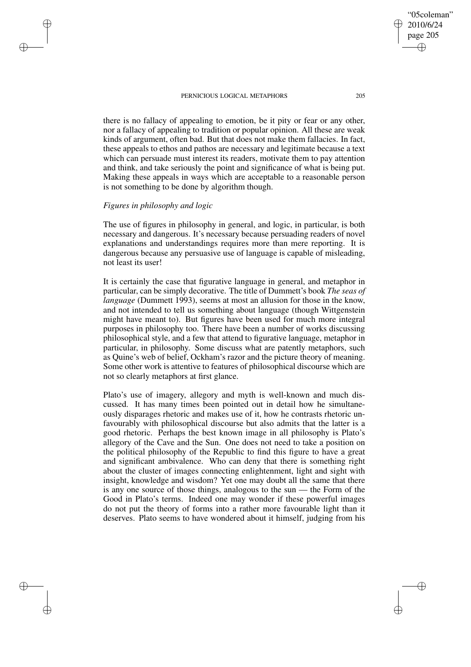there is no fallacy of appealing to emotion, be it pity or fear or any other, nor a fallacy of appealing to tradition or popular opinion. All these are weak kinds of argument, often bad. But that does not make them fallacies. In fact, these appeals to ethos and pathos are necessary and legitimate because a text which can persuade must interest its readers, motivate them to pay attention and think, and take seriously the point and significance of what is being put. Making these appeals in ways which are acceptable to a reasonable person is not something to be done by algorithm though.

# *Figures in philosophy and logic*

✐

✐

✐

✐

The use of figures in philosophy in general, and logic, in particular, is both necessary and dangerous. It's necessary because persuading readers of novel explanations and understandings requires more than mere reporting. It is dangerous because any persuasive use of language is capable of misleading, not least its user!

It is certainly the case that figurative language in general, and metaphor in particular, can be simply decorative. The title of Dummett's book *The seas of language* (Dummett 1993), seems at most an allusion for those in the know, and not intended to tell us something about language (though Wittgenstein might have meant to). But figures have been used for much more integral purposes in philosophy too. There have been a number of works discussing philosophical style, and a few that attend to figurative language, metaphor in particular, in philosophy. Some discuss what are patently metaphors, such as Quine's web of belief, Ockham's razor and the picture theory of meaning. Some other work is attentive to features of philosophical discourse which are not so clearly metaphors at first glance.

Plato's use of imagery, allegory and myth is well-known and much discussed. It has many times been pointed out in detail how he simultaneously disparages rhetoric and makes use of it, how he contrasts rhetoric unfavourably with philosophical discourse but also admits that the latter is a good rhetoric. Perhaps the best known image in all philosophy is Plato's allegory of the Cave and the Sun. One does not need to take a position on the political philosophy of the Republic to find this figure to have a great and significant ambivalence. Who can deny that there is something right about the cluster of images connecting enlightenment, light and sight with insight, knowledge and wisdom? Yet one may doubt all the same that there is any one source of those things, analogous to the sun — the Form of the Good in Plato's terms. Indeed one may wonder if these powerful images do not put the theory of forms into a rather more favourable light than it deserves. Plato seems to have wondered about it himself, judging from his

"05coleman" 2010/6/24 page 205

✐

✐

✐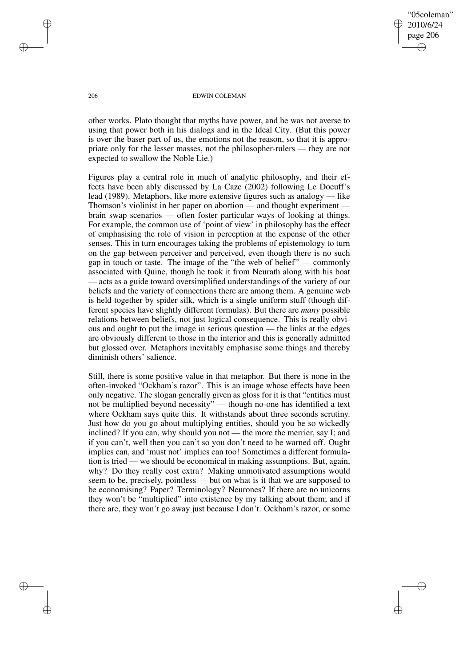"05coleman" 2010/6/24 page 206 ✐ ✐

✐

✐

#### 206 EDWIN COLEMAN

other works. Plato thought that myths have power, and he was not averse to using that power both in his dialogs and in the Ideal City. (But this power is over the baser part of us, the emotions not the reason, so that it is appropriate only for the lesser masses, not the philosopher-rulers — they are not expected to swallow the Noble Lie.)

Figures play a central role in much of analytic philosophy, and their effects have been ably discussed by La Caze (2002) following Le Doeuff's lead (1989). Metaphors, like more extensive figures such as analogy — like Thomson's violinist in her paper on abortion — and thought experiment brain swap scenarios — often foster particular ways of looking at things. For example, the common use of 'point of view' in philosophy has the effect of emphasising the role of vision in perception at the expense of the other senses. This in turn encourages taking the problems of epistemology to turn on the gap between perceiver and perceived, even though there is no such gap in touch or taste. The image of the "the web of belief" — commonly associated with Quine, though he took it from Neurath along with his boat — acts as a guide toward oversimplified understandings of the variety of our beliefs and the variety of connections there are among them. A genuine web is held together by spider silk, which is a single uniform stuff (though different species have slightly different formulas). But there are *many* possible relations between beliefs, not just logical consequence. This is really obvious and ought to put the image in serious question — the links at the edges are obviously different to those in the interior and this is generally admitted but glossed over. Metaphors inevitably emphasise some things and thereby diminish others' salience.

Still, there is some positive value in that metaphor. But there is none in the often-invoked "Ockham's razor". This is an image whose effects have been only negative. The slogan generally given as gloss for it is that "entities must not be multiplied beyond necessity" — though no-one has identified a text where Ockham says quite this. It withstands about three seconds scrutiny. Just how do you go about multiplying entities, should you be so wickedly inclined? If you can, why should you not — the more the merrier, say I; and if you can't, well then you can't so you don't need to be warned off. Ought implies can, and 'must not' implies can too! Sometimes a different formulation is tried — we should be economical in making assumptions. But, again, why? Do they really cost extra? Making unmotivated assumptions would seem to be, precisely, pointless — but on what is it that we are supposed to be economising? Paper? Terminology? Neurones? If there are no unicorns they won't be "multiplied" into existence by my talking about them; and if there are, they won't go away just because I don't. Ockham's razor, or some

✐

✐

✐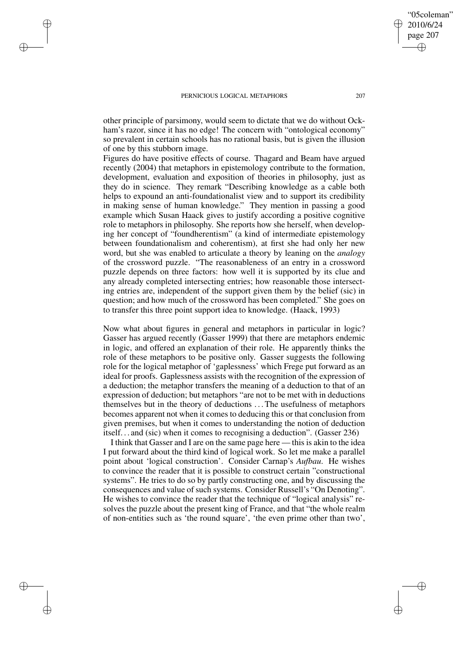✐

✐

✐

✐

other principle of parsimony, would seem to dictate that we do without Ockham's razor, since it has no edge! The concern with "ontological economy" so prevalent in certain schools has no rational basis, but is given the illusion of one by this stubborn image.

Figures do have positive effects of course. Thagard and Beam have argued recently (2004) that metaphors in epistemology contribute to the formation, development, evaluation and exposition of theories in philosophy, just as they do in science. They remark "Describing knowledge as a cable both helps to expound an anti-foundationalist view and to support its credibility in making sense of human knowledge." They mention in passing a good example which Susan Haack gives to justify according a positive cognitive role to metaphors in philosophy. She reports how she herself, when developing her concept of "foundherentism" (a kind of intermediate epistemology between foundationalism and coherentism), at first she had only her new word, but she was enabled to articulate a theory by leaning on the *analogy* of the crossword puzzle. "The reasonableness of an entry in a crossword puzzle depends on three factors: how well it is supported by its clue and any already completed intersecting entries; how reasonable those intersecting entries are, independent of the support given them by the belief (sic) in question; and how much of the crossword has been completed." She goes on to transfer this three point support idea to knowledge. (Haack, 1993)

Now what about figures in general and metaphors in particular in logic? Gasser has argued recently (Gasser 1999) that there are metaphors endemic in logic, and offered an explanation of their role. He apparently thinks the role of these metaphors to be positive only. Gasser suggests the following role for the logical metaphor of 'gaplessness' which Frege put forward as an ideal for proofs. Gaplessness assists with the recognition of the expression of a deduction; the metaphor transfers the meaning of a deduction to that of an expression of deduction; but metaphors "are not to be met with in deductions themselves but in the theory of deductions . . .The usefulness of metaphors becomes apparent not when it comes to deducing this or that conclusion from given premises, but when it comes to understanding the notion of deduction itself. . . and (sic) when it comes to recognising a deduction". (Gasser 236)

I think that Gasser and I are on the same page here — this is akin to the idea I put forward about the third kind of logical work. So let me make a parallel point about 'logical construction'. Consider Carnap's *Aufbau*. He wishes to convince the reader that it is possible to construct certain "constructional systems". He tries to do so by partly constructing one, and by discussing the consequences and value of such systems. Consider Russell's "On Denoting". He wishes to convince the reader that the technique of "logical analysis" resolves the puzzle about the present king of France, and that "the whole realm of non-entities such as 'the round square', 'the even prime other than two',

"05coleman" 2010/6/24 page 207

✐

✐

✐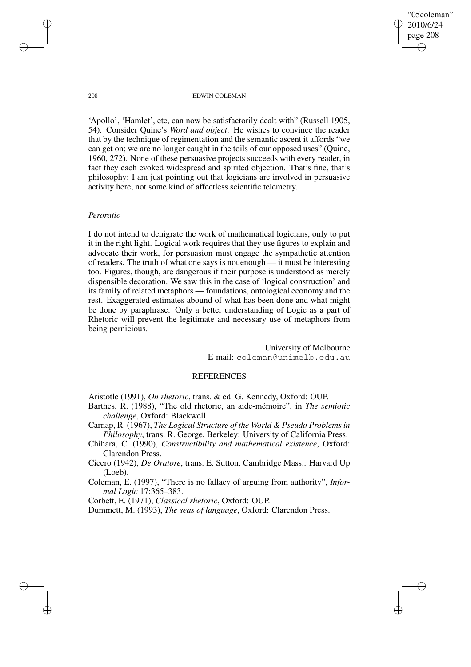"05coleman" 2010/6/24 page 208 ✐ ✐

✐

✐

#### 208 EDWIN COLEMAN

'Apollo', 'Hamlet', etc, can now be satisfactorily dealt with" (Russell 1905, 54). Consider Quine's *Word and object*. He wishes to convince the reader that by the technique of regimentation and the semantic ascent it affords "we can get on; we are no longer caught in the toils of our opposed uses" (Quine, 1960, 272). None of these persuasive projects succeeds with every reader, in fact they each evoked widespread and spirited objection. That's fine, that's philosophy; I am just pointing out that logicians are involved in persuasive activity here, not some kind of affectless scientific telemetry.

## *Peroratio*

I do not intend to denigrate the work of mathematical logicians, only to put it in the right light. Logical work requires that they use figures to explain and advocate their work, for persuasion must engage the sympathetic attention of readers. The truth of what one says is not enough — it must be interesting too. Figures, though, are dangerous if their purpose is understood as merely dispensible decoration. We saw this in the case of 'logical construction' and its family of related metaphors — foundations, ontological economy and the rest. Exaggerated estimates abound of what has been done and what might be done by paraphrase. Only a better understanding of Logic as a part of Rhetoric will prevent the legitimate and necessary use of metaphors from being pernicious.

> University of Melbourne E-mail: coleman@unimelb.edu.au

# **REFERENCES**

Aristotle (1991), *On rhetoric*, trans. & ed. G. Kennedy, Oxford: OUP.

Barthes, R. (1988), "The old rhetoric, an aide-mémoire", in *The semiotic challenge*, Oxford: Blackwell.

Carnap, R. (1967), *The Logical Structure of the World & Pseudo Problems in Philosophy*, trans. R. George, Berkeley: University of California Press.

Chihara, C. (1990), *Constructibility and mathematical existence*, Oxford: Clarendon Press.

Cicero (1942), *De Oratore*, trans. E. Sutton, Cambridge Mass.: Harvard Up (Loeb).

Coleman, E. (1997), "There is no fallacy of arguing from authority", *Informal Logic* 17:365–383.

Corbett, E. (1971), *Classical rhetoric*, Oxford: OUP.

Dummett, M. (1993), *The seas of language*, Oxford: Clarendon Press.

✐

✐

✐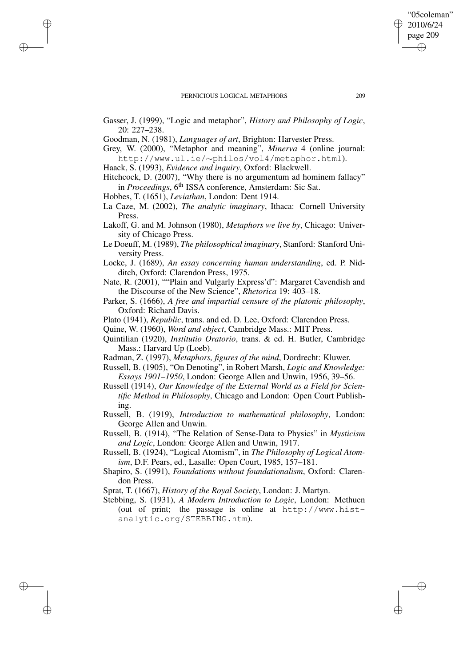- Gasser, J. (1999), "Logic and metaphor", *History and Philosophy of Logic*, 20: 227–238.
- Goodman, N. (1981), *Languages of art*, Brighton: Harvester Press.
- Grey, W. (2000), "Metaphor and meaning", *Minerva* 4 (online journal: http://www.ul.ie/∼philos/vol4/metaphor.html).
- Haack, S. (1993), *Evidence and inquiry*, Oxford: Blackwell.
- Hitchcock, D. (2007), "Why there is no argumentum ad hominem fallacy" in Proceedings, 6<sup>th</sup> ISSA conference, Amsterdam: Sic Sat.
- Hobbes, T. (1651), *Leviathan*, London: Dent 1914.

✐

✐

✐

✐

- La Caze, M. (2002), *The analytic imaginary*, Ithaca: Cornell University Press.
- Lakoff, G. and M. Johnson (1980), *Metaphors we live by*, Chicago: University of Chicago Press.
- Le Doeuff, M. (1989), *The philosophical imaginary*, Stanford: Stanford University Press.
- Locke, J. (1689), *An essay concerning human understanding*, ed. P. Nidditch, Oxford: Clarendon Press, 1975.
- Nate, R. (2001), ""Plain and Vulgarly Express'd": Margaret Cavendish and the Discourse of the New Science", *Rhetorica* 19: 403–18.
- Parker, S. (1666), *A free and impartial censure of the platonic philosophy*, Oxford: Richard Davis.
- Plato (1941), *Republic*, trans. and ed. D. Lee, Oxford: Clarendon Press.
- Quine, W. (1960), *Word and object*, Cambridge Mass.: MIT Press.
- Quintilian (1920), *Institutio Oratorio*, trans. & ed. H. Butler, Cambridge Mass.: Harvard Up (Loeb).
- Radman, Z. (1997), *Metaphors, figures of the mind*, Dordrecht: Kluwer.
- Russell, B. (1905), "On Denoting", in Robert Marsh, *Logic and Knowledge: Essays 1901–1950*, London: George Allen and Unwin, 1956, 39–56.
- Russell (1914), *Our Knowledge of the External World as a Field for Scientific Method in Philosophy*, Chicago and London: Open Court Publishing.
- Russell, B. (1919), *Introduction to mathematical philosophy*, London: George Allen and Unwin.
- Russell, B. (1914), "The Relation of Sense-Data to Physics" in *Mysticism and Logic*, London: George Allen and Unwin, 1917.
- Russell, B. (1924), "Logical Atomism", in *The Philosophy of Logical Atomism*, D.F. Pears, ed., Lasalle: Open Court, 1985, 157–181.
- Shapiro, S. (1991), *Foundations without foundationalism*, Oxford: Clarendon Press.
- Sprat, T. (1667), *History of the Royal Society*, London: J. Martyn.
- Stebbing, S. (1931), *A Modern Introduction to Logic*, London: Methuen (out of print; the passage is online at http://www.histanalytic.org/STEBBING.htm).

"05coleman" 2010/6/24 page 209

✐

✐

✐